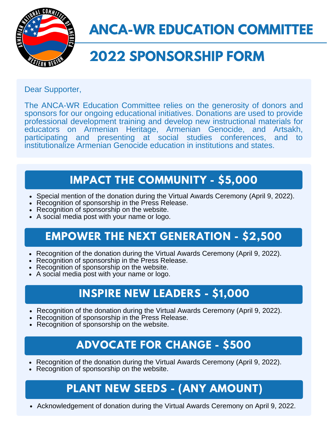

### **ANCA-WR EDUCATION COMMIT**

# **2022 SPONSORSHIP FORM**

Dear Supporter,

The ANCA-WR Education Committee relies on the generosity of donors and sponsors for our ongoing educational initiatives. Donations are used to provide professional development training and develop new instructional materials for educators on Armenian Heritage, Armenian Genocide, and Artsakh, participating and presenting at social studies conferences, and to institutionalize Armenian Genocide education in institutions and states.

#### **IMPACT THE COMMUNITY - \$5,000**

- Special mention of the donation during the Virtual Awards Ceremony (April 9, 2022).
- Recognition of sponsorship in the Press Release.
- Recognition of sponsorship on the website.
- A social media post with your name or logo.

#### **EMPOWER THE NEXT GENERATION - \$2,500**

- Recognition of the donation during the Virtual Awards Ceremony (April 9, 2022).
- Recognition of sponsorship in the Press Release.
- Recognition of sponsorship on the website.
- A social media post with your name or logo.

#### **INSPIRE NEW LEADERS - \$1,000**

- Recognition of the donation during the Virtual Awards Ceremony (April 9, 2022).
- Recognition of sponsorship in the Press Release.
- Recognition of sponsorship on the website.

#### **ADVOCATE FOR CHANGE - \$500**

- Recognition of the donation during the Virtual Awards Ceremony (April 9, 2022).
- Recognition of sponsorship on the website.

### **PLANT NEW SEEDS - (ANY AMOUNT)**

Acknowledgement of donation during the Virtual Awards Ceremony on April 9, 2022.